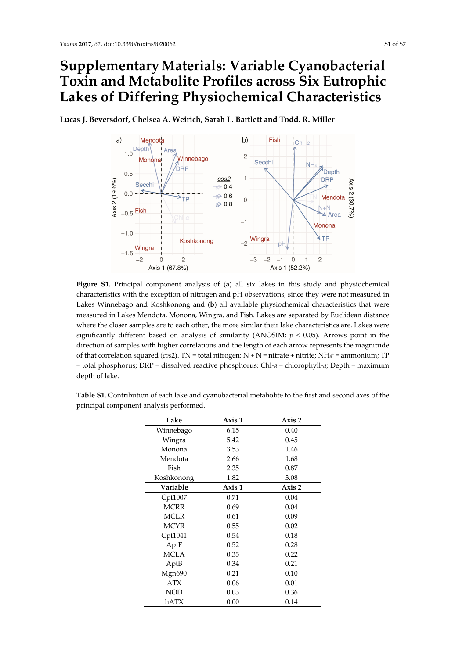## **SupplementaryMaterials: Variable Cyanobacterial Toxin and Metabolite Profiles across Six Eutrophic Lakes of Differing Physiochemical Characteristics**



**Lucas J. Beversdorf, Chelsea A. Weirich, Sarah L. Bartlett and Todd. R. Miller**

**Figure S1.** Principal component analysis of (**a**) all six lakes in this study and physiochemical characteristics with the exception of nitrogen and pH observations, since they were not measured in Lakes Winnebago and Koshkonong and (**b**) all available physiochemical characteristics that were measured in Lakes Mendota, Monona, Wingra, and Fish. Lakes are separated by Euclidean distance where the closer samples are to each other, the more similar their lake characteristics are. Lakes were significantly different based on analysis of similarity (ANOSIM; *p* < 0.05). Arrows point in the direction of samples with higher correlations and the length of each arrow represents the magnitude of that correlation squared (*cos*2). TN = total nitrogen; N + N = nitrate + nitrite; NH4+ = ammonium; TP = total phosphorus; DRP = dissolved reactive phosphorus; Chl‐*a* = chlorophyll‐*a*; Depth = maximum depth of lake.

| Lake        | Axis 1 | Axis 2 |  |  |
|-------------|--------|--------|--|--|
| Winnebago   | 6.15   | 0.40   |  |  |
| Wingra      | 5.42   | 0.45   |  |  |
| Monona      | 3.53   | 1.46   |  |  |
| Mendota     | 2.66   | 1.68   |  |  |
| Fish        | 2.35   | 0.87   |  |  |
| Koshkonong  | 1.82   | 3.08   |  |  |
| Variable    | Axis 1 | Axis 2 |  |  |
| Cpt1007     | 0.71   | 0.04   |  |  |
| <b>MCRR</b> | 0.69   | 0.04   |  |  |
| <b>MCLR</b> | 0.61   | 0.09   |  |  |
| <b>MCYR</b> | 0.55   | 0.02   |  |  |
| Cpt1041     | 0.54   | 0.18   |  |  |
| AptF        | 0.52   | 0.28   |  |  |
| <b>MCLA</b> | 0.35   | 0.22   |  |  |
| AptB        | 0.34   | 0.21   |  |  |
| Mgn690      | 0.21   | 0.10   |  |  |
| <b>ATX</b>  | 0.06   | 0.01   |  |  |
| <b>NOD</b>  | 0.03   | 0.36   |  |  |
| hATX        | 0.00   | 0.14   |  |  |

**Table S1.** Contribution of each lake and cyanobacterial metabolite to the first and second axes of the principal component analysis performed.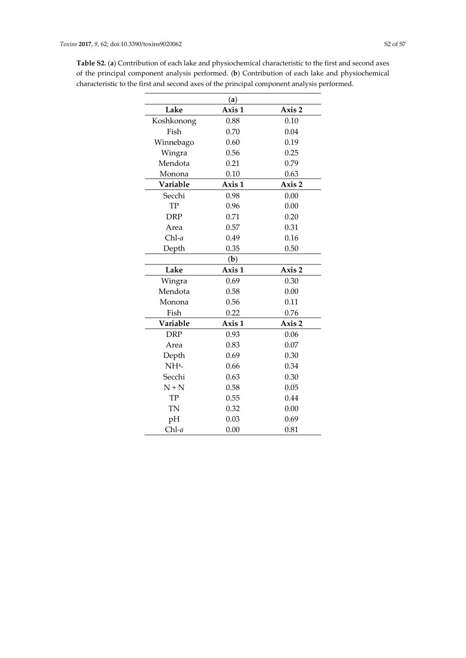|                 | (a)          |        |  |  |  |  |
|-----------------|--------------|--------|--|--|--|--|
| Lake            | Axis 1       | Axis 2 |  |  |  |  |
| Koshkonong      | 0.88<br>0.10 |        |  |  |  |  |
| Fish            | 0.70<br>0.04 |        |  |  |  |  |
| Winnebago       | 0.19<br>0.60 |        |  |  |  |  |
| Wingra          | 0.56<br>0.25 |        |  |  |  |  |
| Mendota         | 0.21<br>0.79 |        |  |  |  |  |
| Monona          | 0.10<br>0.63 |        |  |  |  |  |
| Variable        | Axis 1       | Axis 2 |  |  |  |  |
| Secchi          | 0.98         | 0.00   |  |  |  |  |
| TP              | 0.96<br>0.00 |        |  |  |  |  |
| <b>DRP</b>      | 0.71<br>0.20 |        |  |  |  |  |
| Area            | 0.57<br>0.31 |        |  |  |  |  |
| $Chl-a$         | 0.49<br>0.16 |        |  |  |  |  |
| Depth           | 0.35         | 0.50   |  |  |  |  |
|                 | (b)          |        |  |  |  |  |
| Lake            | Axis 1       | Axis 2 |  |  |  |  |
| Wingra          | 0.69         | 0.30   |  |  |  |  |
| Mendota         | 0.58<br>0.00 |        |  |  |  |  |
| Monona          | 0.56<br>0.11 |        |  |  |  |  |
| Fish            | 0.22<br>0.76 |        |  |  |  |  |
| Variable        | Axis 1       | Axis 2 |  |  |  |  |
| <b>DRP</b>      | 0.93         | 0.06   |  |  |  |  |
| Area            | 0.83         | 0.07   |  |  |  |  |
| Depth           | 0.69         | 0.30   |  |  |  |  |
| NH <sup>4</sup> | 0.66         | 0.34   |  |  |  |  |
| Secchi          | 0.63         | 0.30   |  |  |  |  |
| $N + N$         | 0.05<br>0.58 |        |  |  |  |  |
| TP              | 0.55<br>0.44 |        |  |  |  |  |
| TN              | 0.32         | 0.00   |  |  |  |  |
| pH              | 0.03<br>0.69 |        |  |  |  |  |
| $Chl-a$         | 0.00         | 0.81   |  |  |  |  |

**Table S2.** (**a**) Contribution of each lake and physiochemical characteristic to the first and second axes of the principal component analysis performed. (**b**) Contribution of each lake and physiochemical characteristic to the first and second axes of the principal component analysis performed.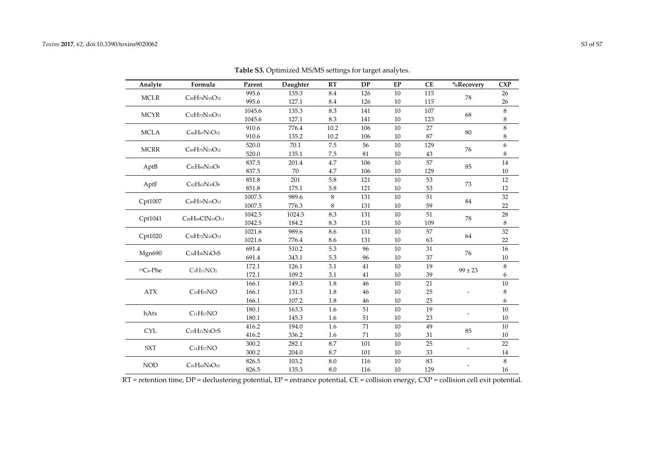| Analyte                                                                        | Formula                                                                    | Parent | Daughter | RT      | <b>DP</b> | EP     | <b>CE</b> | %Recovery   | <b>CXP</b> |
|--------------------------------------------------------------------------------|----------------------------------------------------------------------------|--------|----------|---------|-----------|--------|-----------|-------------|------------|
| <b>MCLR</b><br>$C_{49}H_{74}N_{10}O_{12}$                                      | 995.6                                                                      | 135.3  | 8.4      | 126     | 10        | 115    | 78        | 26          |            |
|                                                                                |                                                                            | 995.6  | 127.1    | 8.4     | 126       | 10     | 115       |             | 26         |
| <b>MCYR</b><br>C52H72N10O13                                                    | 1045.6                                                                     | 135.3  | 8.3      | 141     | 10        | 107    | 68        | 8           |            |
|                                                                                | 1045.6                                                                     | 127.1  | 8.3      | 141     | $10\,$    | 123    |           | 8           |            |
| <b>MCLA</b><br>C <sub>46</sub> H <sub>67</sub> N <sub>7</sub> O <sub>12</sub>  | 910.6                                                                      | 776.4  | 10.2     | 106     | 10        | 27     | 80        | 8           |            |
|                                                                                | 910.6                                                                      | 135.2  | 10.2     | 106     | 10        | 87     |           | 8           |            |
| <b>MCRR</b><br>C <sub>49</sub> H <sub>75</sub> N <sub>13</sub> O <sub>12</sub> | 520.0                                                                      | 70.1   | 7.5      | 56      | 10        | 129    | 76        | 6           |            |
|                                                                                |                                                                            | 520.0  | 135.1    | 7.5     | 81        | 10     | 43        |             | 8          |
| AptB                                                                           | $C_{41}H_{60}N_{10}O_9$                                                    | 837.5  | 201.4    | 4.7     | 106       | 10     | 57        | 85          | 14         |
|                                                                                |                                                                            | 837.5  | 70       | 4.7     | 106       | 10     | 129       |             | $10\,$     |
| AptF                                                                           | C <sub>42</sub> H <sub>62</sub> N <sub>10</sub> O <sub>9</sub>             | 851.8  | 201      | 5.8     | 121       | 10     | 53        | 73          | 12         |
|                                                                                |                                                                            | 851.8  | 175.1    | 5.8     | 121       | 10     | 53        |             | 12         |
|                                                                                | $C_{49}H_{70}N_{10}O_{13}$<br>Cpt1007                                      | 1007.5 | 989.6    | $\,8\,$ | 131       | $10\,$ | 51        | 84          | 32         |
|                                                                                |                                                                            | 1007.5 | 776.3    | 8       | 131       | 10     | 59        |             | 22         |
| Cpt1041                                                                        | C49H69ClN10O13                                                             | 1042.5 | 1024.5   | 8.3     | 131       | 10     | 51        | 78          | 28         |
|                                                                                |                                                                            | 1042.5 | 184.2    | 8.3     | 131       | $10\,$ | 109       |             | 8          |
|                                                                                | Cpt1020<br>C <sub>50</sub> H <sub>72</sub> N <sub>10</sub> O <sub>13</sub> | 1021.6 | 989.6    | 8.6     | 131       | 10     | 57        | 64          | 32         |
|                                                                                |                                                                            | 1021.6 | 776.4    | 8.6     | 131       | $10\,$ | 63        |             | 22         |
| Mgn690                                                                         | C34H50N4O9S                                                                | 691.4  | 510.2    | 5.3     | 96        | 10     | 31        | 76          | 16         |
|                                                                                |                                                                            | 691.4  | 343.1    | 5.3     | 96        | 10     | 37        |             | 10         |
| ${}^{13}Co-Phe$                                                                | $C_9H_{11}NO_2$                                                            | 172.1  | 126.1    | 3.1     | 41        | 10     | 19        | $99 \pm 23$ | $\,8\,$    |
|                                                                                |                                                                            | 172.1  | 109.2    | 3.1     | 41        | 10     | 39        |             | 6          |
|                                                                                |                                                                            | 166.1  | 149.3    | 1.8     | 46        | 10     | 21        |             | 10         |
| $C_{10}H_{15}NO$<br><b>ATX</b>                                                 | 166.1                                                                      | 131.3  | 1.8      | 46      | 10        | 25     |           | 8           |            |
|                                                                                |                                                                            | 166.1  | 107.2    | 1.8     | 46        | 10     | 25        |             | 6          |
| hAtx                                                                           | C <sub>11</sub> H <sub>17</sub> NO                                         | 180.1  | 163.3    | 1.6     | 51        | 10     | 19        |             | 10         |
|                                                                                | 180.1                                                                      | 145.3  | 1.6      | 51      | 10        | 23     |           | 10          |            |
| <b>CYL</b>                                                                     | C <sub>15</sub> H <sub>21</sub> N <sub>5</sub> O <sub>7</sub> S            | 416.2  | 194.0    | 1.6     | 71        | 10     | 49        | 85          | 10         |
|                                                                                | 416.2                                                                      | 336.2  | 1.6      | 71      | 10        | 31     |           | 10          |            |
| <b>SXT</b>                                                                     | C <sub>11</sub> H <sub>17</sub> NO                                         | 300.2  | 282.1    | 8.7     | 101       | 10     | 25        |             | 22         |
|                                                                                |                                                                            | 300.2  | 204.0    | 8.7     | 101       | 10     | 33        |             | 14         |
| <b>NOD</b>                                                                     | $C_{41}H_{60}NsO_{10}$                                                     | 826.5  | 103.2    | $8.0\,$ | 116       | $10\,$ | 83        |             | 8          |
|                                                                                |                                                                            | 826.5  | 135.3    | 8.0     | 116       | 10     | 129       |             | 16         |

**Table S3.** Optimized MS/MS settings for target analytes.

RT <sup>=</sup> retention time, DP <sup>=</sup> declustering potential, EP <sup>=</sup> entrance potential, CE <sup>=</sup> collision energy, CXP <sup>=</sup> collision cell exit potential.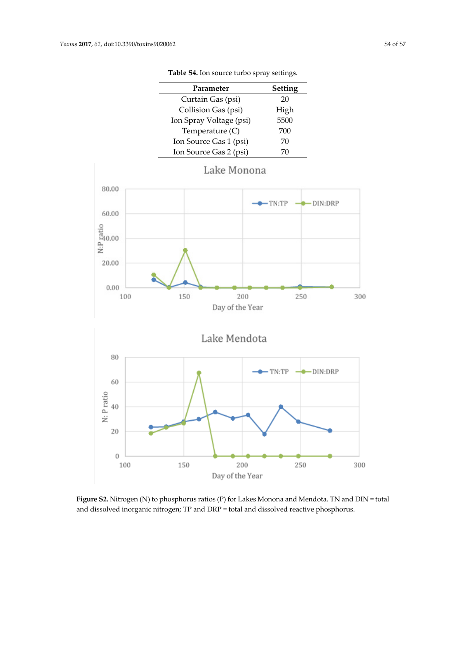| Parameter               | Setting |
|-------------------------|---------|
| Curtain Gas (psi)       | 20      |
| Collision Gas (psi)     | High    |
| Ion Spray Voltage (psi) | 5500    |
| Temperature $(C)$       | 700     |
| Ion Source Gas 1 (psi)  | 70      |
| Ion Source Gas 2 (psi)  | 70      |

**Table S4.** Ion source turbo spray settings.



**Figure S2.** Nitrogen (N) to phosphorus ratios (P) for Lakes Monona and Mendota. TN and DIN = total and dissolved inorganic nitrogen; TP and DRP = total and dissolved reactive phosphorus.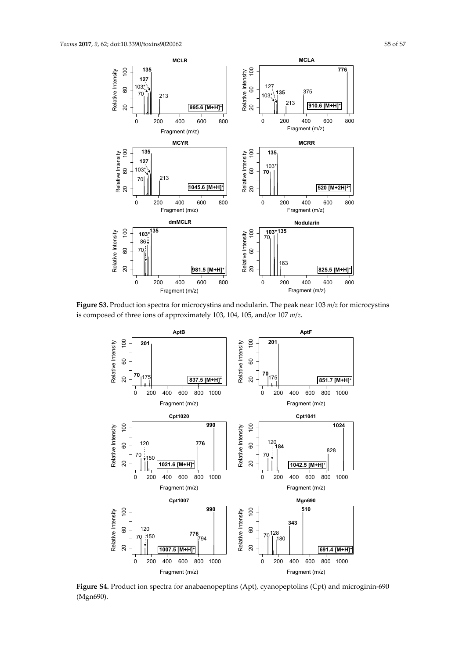

**Figure S3.** Product ion spectra for microcystins and nodularin. The peak near 103 *m*/*z* for microcystins is composed of three ions of approximately 103, 104, 105, and/or 107 *m*/*z*.



**Figure S4.** Product ion spectra for anabaenopeptins (Apt), cyanopeptolins (Cpt) and microginin‐690 (Mgn690).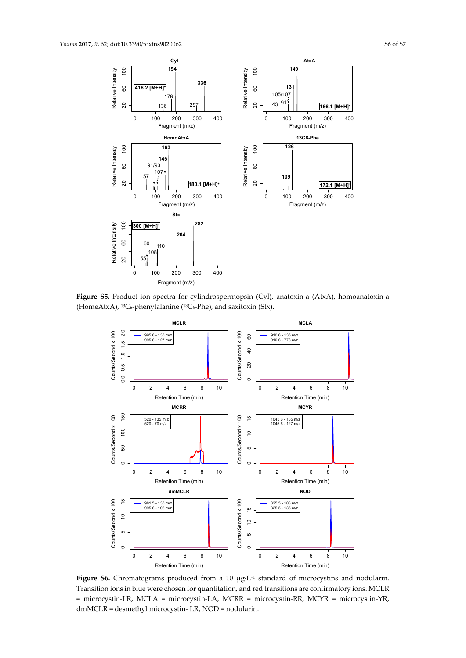

**Figure S5.** Product ion spectra for cylindrospermopsin (Cyl), anatoxin‐a (AtxA), homoanatoxin‐a (HomeAtxA), <sup>13</sup>C<sub>6</sub>-phenylalanine (<sup>13</sup>C<sub>6</sub>-Phe), and saxitoxin (Stx).



**Figure S6.** Chromatograms produced from a 10 μg∙L<sup>−</sup><sup>1</sup> standard of microcystins and nodularin. Transition ions in blue were chosen for quantitation, and red transitions are confirmatory ions. MCLR = microcystin‐LR, MCLA = microcystin‐LA, MCRR = microcystin‐RR, MCYR = microcystin‐YR, dmMCLR = desmethyl microcystin‐ LR, NOD = nodularin.